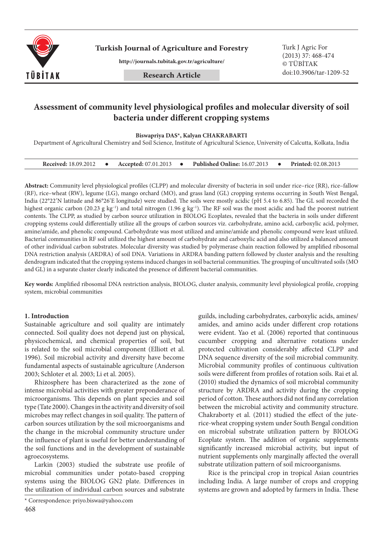

**Turkish Journal of Agriculture and Forestry Turk J Agric For** 

**http://journals.tubitak.gov.tr/agriculture/**

**Research Article**

(2013) 37: 468-474 © TÜBİTAK doi:10.3906/tar-1209-52

# **Assessment of community level physiological profiles and molecular diversity of soil bacteria under different cropping systems**

**Biswapriya DAS\*, Kalyan CHAKRABARTI**

Department of Agricultural Chemistry and Soil Science, Institute of Agricultural Science, University of Calcutta, Kolkata, India

| <b>Received: 18.09.2012</b> |  | <b>Accepted:</b> 07.01.2013 |  | <b>Published Online: 16.07.2013</b> |  | <b>Printed:</b> 02.08.2013 |
|-----------------------------|--|-----------------------------|--|-------------------------------------|--|----------------------------|
|-----------------------------|--|-----------------------------|--|-------------------------------------|--|----------------------------|

**Abstract:** Community level physiological profiles (CLPP) and molecular diversity of bacteria in soil under rice–rice (RR), rice–fallow (RF), rice–wheat (RW), legume (LG), mango orchard (MO), and grass land (GL) cropping systems occurring in South West Bengal, India (22°22′N latitude and 86°26′E longitude) were studied. The soils were mostly acidic (pH 5.4 to 6.85). The GL soil recorded the highest organic carbon (20.23 g kg<sup>-1</sup>) and total nitrogen (1.96 g kg<sup>-1</sup>). The RF soil was the most acidic and had the poorest nutrient contents. The CLPP, as studied by carbon source utilization in BIOLOG Ecoplates, revealed that the bacteria in soils under different cropping systems could differentially utilize all the groups of carbon sources viz. carbohydrate, amino acid, carboxylic acid, polymer, amine/amide, and phenolic compound. Carbohydrate was most utilized and amine/amide and phenolic compound were least utilized. Bacterial communities in RF soil utilized the highest amount of carbohydrate and carboxylic acid and also utilized a balanced amount of other individual carbon substrates. Molecular diversity was studied by polymerase chain reaction followed by amplified ribosomal DNA restriction analysis (ARDRA) of soil DNA. Variations in ARDRA banding pattern followed by cluster analysis and the resulting dendrogram indicated that the cropping systems induced changes in soil bacterial communities. The grouping of uncultivated soils (MO and GL) in a separate cluster clearly indicated the presence of different bacterial communities.

**Key words:** Amplified ribosomal DNA restriction analysis, BIOLOG, cluster analysis, community level physiological profile, cropping system, microbial communities

## **1. Introduction**

Sustainable agriculture and soil quality are intimately connected. Soil quality does not depend just on physical, physicochemical, and chemical properties of soil, but is related to the soil microbial component (Elliott et al. 1996). Soil microbial activity and diversity have become fundamental aspects of sustainable agriculture (Anderson 2003; Schloter et al. 2003; Li et al. 2005).

Rhizosphere has been characterized as the zone of intense microbial activities with greater preponderance of microorganisms. This depends on plant species and soil type (Tate 2000). Changes in the activity and diversity of soil microbes may reflect changes in soil quality. The pattern of carbon sources utilization by the soil microorganisms and the change in the microbial community structure under the influence of plant is useful for better understanding of the soil functions and in the development of sustainable agroecosystems.

Larkin (2003) studied the substrate use profile of microbial communities under potato-based cropping systems using the BIOLOG GN2 plate. Differences in the utilization of individual carbon sources and substrate

guilds, including carbohydrates, carboxylic acids, amines/ amides, and amino acids under different crop rotations were evident. Yao et al. (2006) reported that continuous cucumber cropping and alternative rotations under protected cultivation considerably affected CLPP and DNA sequence diversity of the soil microbial community. Microbial community profiles of continuous cultivation soils were different from profiles of rotation soils. Rai et al. (2010) studied the dynamics of soil microbial community structure by ARDRA and activity during the cropping period of cotton. These authors did not find any correlation between the microbial activity and community structure. Chakraborty et al. (2011) studied the effect of the juterice-wheat cropping system under South Bengal condition on microbial substrate utilization pattern by BIOLOG Ecoplate system. The addition of organic supplements significantly increased microbial activity, but input of nutrient supplements only marginally affected the overall substrate utilization pattern of soil microorganisms.

Rice is the principal crop in tropical Asian countries including India. A large number of crops and cropping systems are grown and adopted by farmers in India. These

<sup>\*</sup> Correspondence: priyo.biswa@yahoo.com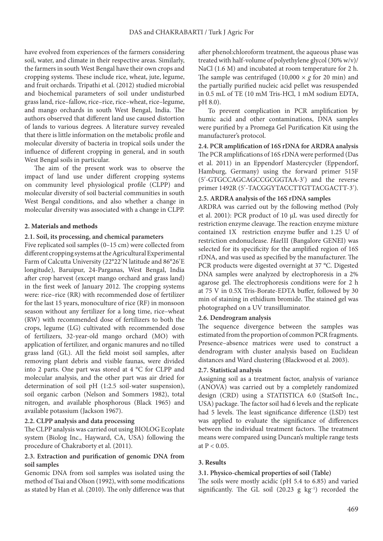have evolved from experiences of the farmers considering soil, water, and climate in their respective areas. Similarly, the farmers in south West Bengal have their own crops and cropping systems. These include rice, wheat, jute, legume, and fruit orchards. Tripathi et al. (2012) studied microbial and biochemical parameters of soil under undisturbed grass land, rice–fallow, rice–rice, rice–wheat, rice–legume, and mango orchards in south West Bengal, India. The authors observed that different land use caused distortion of lands to various degrees. A literature survey revealed that there is little information on the metabolic profile and molecular diversity of bacteria in tropical soils under the influence of different cropping in general, and in south West Bengal soils in particular.

The aim of the present work was to observe the impact of land use under different cropping systems on community level physiological profile (CLPP) and molecular diversity of soil bacterial communities in south West Bengal conditions, and also whether a change in molecular diversity was associated with a change in CLPP.

## **2. Materials and methods**

### **2.1. Soil, its processing, and chemical parameters**

Five replicated soil samples (0–15 cm) were collected from different cropping systems at the Agricultural Experimental Farm of Calcutta University (22°22′N latitude and 86°26′E longitude), Baruipur, 24-Parganas, West Bengal, India after crop harvest (except mango orchard and grass land) in the first week of January 2012. The cropping systems were: rice–rice (RR) with recommended dose of fertilizer for the last 15 years, monoculture of rice (RF) in monsoon season without any fertilizer for a long time, rice–wheat (RW) with recommended dose of fertilizers to both the crops, legume (LG) cultivated with recommended dose of fertilizers, 32-year-old mango orchard (MO) with application of fertilizer, and organic manures and no tilled grass land (GL). All the field moist soil samples, after removing plant debris and visible faunas, were divided into 2 parts. One part was stored at 4 °C for CLPP and molecular analysis, and the other part was air dried for determination of soil pH (1:2.5 soil-water suspension), soil organic carbon (Nelson and Sommers 1982), total nitrogen, and available phosphorous (Black 1965) and available potassium (Jackson 1967).

#### **2.2. CLPP analysis and data processing**

The CLPP analysis was carried out using BIOLOG Ecoplate system (Biolog Inc., Hayward, CA, USA) following the procedure of Chakraborty et al. (2011).

## **2.3. Extraction and purification of genomic DNA from soil samples**

Genomic DNA from soil samples was isolated using the method of Tsai and Olson (1992), with some modifications as stated by Han et al. (2010). The only difference was that

after phenol:chloroform treatment, the aqueous phase was treated with half-volume of polyethylene glycol (30% w/v)/ NaCl (1.6 M) and incubated at room temperature for 2 h. The sample was centrifuged  $(10,000 \times g$  for 20 min) and the partially purified nucleic acid pellet was resuspended in 0.5 mL of TE (10 mM Tris-HCl, 1 mM sodium EDTA, pH 8.0).

To prevent complication in PCR amplification by humic acid and other contaminations, DNA samples were purified by a Promega Gel Purification Kit using the manufacturer's protocol.

**2.4. PCR amplification of 16S rDNA for ARDRA analysis** The PCR amplifications of 16S rDNA were performed (Das et al. 2011) in an Eppendorf Mastercycler (Eppendorf, Hamburg, Germany) using the forward primer 515F (5′-GTGCCAGCAGCCGCGGTAA-3′) and the reverse primer 1492R (5'-TACGGYTACCTTGTTACGACTT-3').

### **2.5. ARDRA analysis of the 16S rDNA samples**

ARDRA was carried out by the following method (Poly et al. 2001): PCR product of 10 µL was used directly for restriction enzyme cleavage. The reaction enzyme mixture contained 1X restriction enzyme buffer and 1.25 U of restriction endonuclease. *Hae*III (Bangalore GENEI) was selected for its specificity for the amplified region of 16S rDNA, and was used as specified by the manufacturer. The PCR products were digested overnight at 37 °C. Digested DNA samples were analyzed by electrophoresis in a 2% agarose gel. The electrophoresis conditions were for 2 h at 75 V in 0.5X Tris-Borate-EDTA buffer, followed by 30 min of staining in ethidium bromide. The stained gel was photographed on a UV transilluminator.

#### **2.6. Dendrogram analysis**

The sequence divergence between the samples was estimated from the proportion of common PCR fragments. Presence–absence matrices were used to construct a dendrogram with cluster analysis based on Euclidean distances and Ward clustering (Blackwood et al. 2003).

## **2.7. Statistical analysis**

Assigning soil as a treatment factor, analysis of variance (ANOVA) was carried out by a completely randomized design (CRD) using a STATISTICA 6.0 (StatSoft Inc., USA) package. The factor soil had 6 levels and the replicate had 5 levels. The least significance difference (LSD) test was applied to evaluate the significance of differences between the individual treatment factors. The treatment means were compared using Duncan's multiple range tests at  $P < 0.05$ .

#### **3. Results**

## **3.1. Physico-chemical properties of soil (Table)**

The soils were mostly acidic (pH 5.4 to 6.85) and varied significantly. The GL soil (20.23 g kg–1) recorded the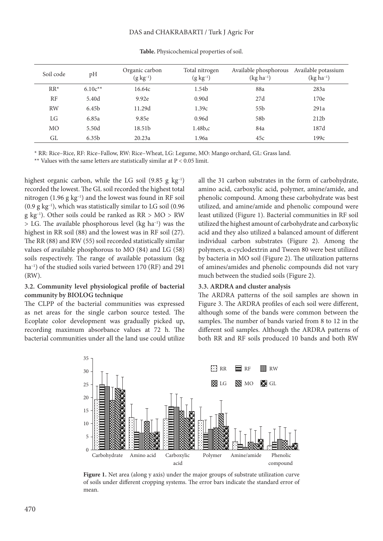| Soil code | pH                | Organic carbon<br>$(g \ kg^{-1})$ | Total nitrogen<br>$(g kg-1)$ | Available phosphorous<br>$(kg ha^{-1})$ | Available potassium<br>$(kg ha^{-1})$ |
|-----------|-------------------|-----------------------------------|------------------------------|-----------------------------------------|---------------------------------------|
| $RR^*$    | $6.10c^{**}$      | 16.64c                            | 1.54b                        | 88a                                     | 283a                                  |
| RF        | 5.40d             | 9.92e                             | 0.90d                        | 27d                                     | 170e                                  |
| <b>RW</b> | 6.45 <sub>b</sub> | 11.29d                            | 1.39c                        | 55 <sub>b</sub>                         | 291a                                  |
| LG        | 6.85a             | 9.85e                             | 0.96d                        | 58b                                     | 212 <sub>b</sub>                      |
| <b>MO</b> | 5.50d             | 18.51b                            | 1.48 <sub>b,c</sub>          | 84a                                     | 187d                                  |
| GL        | 6.35 <sub>b</sub> | 20.23a                            | 1.96a                        | 45c                                     | 199c                                  |

**Table.** Physicochemical properties of soil.

\* RR: Rice–Rice, RF: Rice–Fallow, RW: Rice–Wheat, LG: Legume, MO: Mango orchard, GL: Grass land.

\*\* Values with the same letters are statistically similar at  $P < 0.05$  limit.

highest organic carbon, while the LG soil  $(9.85 \text{ g kg}^{-1})$ recorded the lowest. The GL soil recorded the highest total nitrogen (1.96 g kg–1) and the lowest was found in RF soil  $(0.9 \text{ g kg}^{-1})$ , which was statistically similar to LG soil  $(0.96$  $g \text{ kg}^{-1}$ ). Other soils could be ranked as  $RR > MO > RW$  $>$  LG. The available phosphorous level (kg ha<sup>-1</sup>) was the highest in RR soil (88) and the lowest was in RF soil (27). The RR (88) and RW (55) soil recorded statistically similar values of available phosphorous to MO (84) and LG (58) soils respectively. The range of available potassium (kg ha<sup>-1</sup>) of the studied soils varied between 170 (RF) and 291 (RW).

## **3.2. Community level physiological profile of bacterial community by BIOLOG technique**

The CLPP of the bacterial communities was expressed as net areas for the single carbon source tested. The Ecoplate color development was gradually picked up, recording maximum absorbance values at 72 h. The bacterial communities under all the land use could utilize all the 31 carbon substrates in the form of carbohydrate, amino acid, carboxylic acid, polymer, amine/amide, and phenolic compound. Among these carbohydrate was best utilized, and amine/amide and phenolic compound were least utilized (Figure 1). Bacterial communities in RF soil utilized the highest amount of carbohydrate and carboxylic acid and they also utilized a balanced amount of different individual carbon substrates (Figure 2). Among the polymers, α-cyclodextrin and Tween 80 were best utilized by bacteria in MO soil (Figure 2). The utilization patterns of amines/amides and phenolic compounds did not vary much between the studied soils (Figure 2).

## **3.3. ARDRA and cluster analysis**

The ARDRA patterns of the soil samples are shown in Figure 3. The ARDRA profiles of each soil were different, although some of the bands were common between the samples. The number of bands varied from 8 to 12 in the different soil samples. Although the ARDRA patterns of both RR and RF soils produced 10 bands and both RW



**Figure 1.** Net area (along y axis) under the major groups of substrate utilization curve of soils under different cropping systems. The error bars indicate the standard error of mean.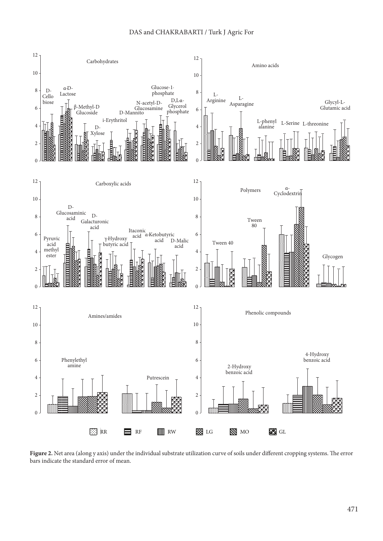#### DAS and CHAKRABARTI / Turk J Agric For



**Figure 2.** Net area (along y axis) under the individual substrate utilization curve of soils under different cropping systems. The error bars indicate the standard error of mean.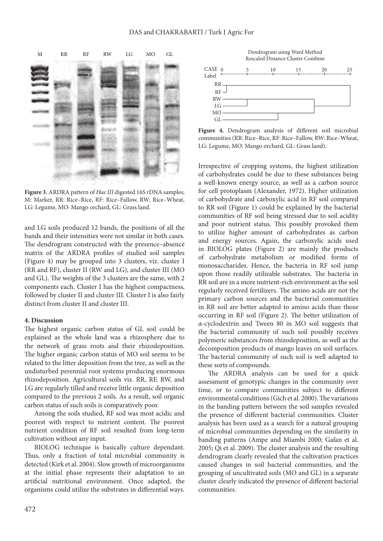

**Figure 3.** ARDRA pattern of *Hae III* digested 16S rDNA samples; M: Marker, RR: Rice–Rice, RF: Rice–Fallow, RW: Rice–Wheat, LG: Legume, MO: Mango orchard, GL: Grass land.

and LG soils produced 12 bands, the positions of all the bands and their intensities were not similar in both cases. The dendrogram constructed with the presence–absence matrix of the ARDRA profiles of studied soil samples (Figure 4) may be grouped into 3 clusters, viz. cluster I (RR and RF), cluster II (RW and LG), and cluster III (MO and GL). The weights of the 3 clusters are the same, with 2 components each. Cluster I has the highest compactness, followed by cluster II and cluster III. Cluster I is also fairly distinct from cluster II and cluster III.

#### **4. Discussion**

The highest organic carbon status of GL soil could be explained as the whole land was a rhizosphere due to the network of grass roots and their rhizodeposition. The higher organic carbon status of MO soil seems to be related to the litter deposition from the tree, as well as the undisturbed perennial root systems producing enormous rhizodeposition. Agricultural soils viz. RR, RF, RW, and LG are regularly tilled and receive little organic deposition compared to the previous 2 soils. As a result, soil organic carbon status of such soils is comparatively poor.

Among the soils studied, RF soil was most acidic and poorest with respect to nutrient content. The poorest nutrient condition of RF soil resulted from long-term cultivation without any input.

BIOLOG technique is basically culture dependant. Thus, only a fraction of total microbial community is detected (Kirk et al. 2004). Slow growth of microorganisms at the initial phase represents their adaptation to an artificial nutritional environment. Once adapted, the organisms could utilize the substrates in differential ways.



**Figure 4.** Dendrogram analysis of different soil microbial communities (RR: Rice–Rice, RF: Rice–Fallow, RW: Rice–Wheat, LG: Legume, MO: Mango orchard, GL: Grass land).

Irrespective of cropping systems, the highest utilization of carbohydrates could be due to these substances being a well-known energy source, as well as a carbon source for cell protoplasm (Alexander, 1972). Higher utilization of carbohydrate and carboxylic acid in RF soil compared to RR soil (Figure 1) could be explained by the bacterial communities of RF soil being stressed due to soil acidity and poor nutrient status. This possibly provoked them to utilize higher amount of carbohydrates as carbon and energy sources. Again, the carboxylic acids used in BIOLOG plates (Figure 2) are mainly the products of carbohydrate metabolism or modified forms of monosaccharides. Hence, the bacteria in RF soil jump upon those readily utilizable substrates. The bacteria in RR soil are in a more nutrient-rich environment as the soil regularly received fertilizers. The amino acids are not the primary carbon sources and the bacterial communities in RR soil are better adapted to amino acids than those occurring in RF soil (Figure 2). The better utilization of α-cyclodextrin and Tween 80 in MO soil suggests that the bacterial community of such soil possibly receives polymeric substances from rhizodeposition, as well as the decomposition products of mango leaves on soil surfaces. The bacterial community of such soil is well adapted to these sorts of compounds.

The ARDRA analysis can be used for a quick assessment of genotypic changes in the community over time, or to compare communities subject to different environmental conditions (Gich et al. 2000). The variations in the banding pattern between the soil samples revealed the presence of different bacterial communities. Cluster analysis has been used as a search for a natural grouping of microbial communities depending on the similarity in banding patterns (Ampe and Miambi 2000; Gafan et al. 2005; Qi et al. 2009). The cluster analysis and the resulting dendrogram clearly revealed that the cultivation practices caused changes in soil bacterial communities, and the grouping of uncultivated soils (MO and GL) in a separate cluster clearly indicated the presence of different bacterial communities.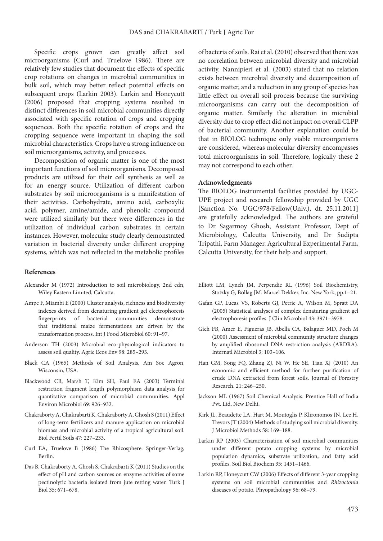Specific crops grown can greatly affect soil microorganisms (Curl and Truelove 1986). There are relatively few studies that document the effects of specific crop rotations on changes in microbial communities in bulk soil, which may better reflect potential effects on subsequent crops (Larkin 2003). Larkin and Honeycutt (2006) proposed that cropping systems resulted in distinct differences in soil microbial communities directly associated with specific rotation of crops and cropping sequences. Both the specific rotation of crops and the cropping sequence were important in shaping the soil microbial characteristics. Crops have a strong influence on soil microorganisms, activity, and processes.

Decomposition of organic matter is one of the most important functions of soil microorganisms. Decomposed products are utilized for their cell synthesis as well as for an energy source. Utilization of different carbon substrates by soil microorganisms is a manifestation of their activities. Carbohydrate, amino acid, carboxylic acid, polymer, amine/amide, and phenolic compound were utilized similarly but there were differences in the utilization of individual carbon substrates in certain instances. However, molecular study clearly demonstrated variation in bacterial diversity under different cropping systems, which was not reflected in the metabolic profiles

#### **References**

- Alexander M (1972) Introduction to soil microbiology, 2nd edn, Wiley Eastern Limited, Calcutta.
- Ampe F, Miambi E (2000) Cluster analysis, richness and biodiversity indexes derived from denaturing gradient gel electrophoresis fingerprints of bacterial communities demonstrate that traditional maize fermentations are driven by the transformation process. Int J Food Microbiol 60: 91–97.
- Anderson TH (2003) Microbial eco-physiological indicators to assess soil quality. Agric Ecos Env 98: 285–293.
- Black CA (1965) Methods of Soil Analysis. Am Soc Agron, Wisconsin, USA.
- Blackwood CB, Marsh T, Kim SH, Paul EA (2003) Terminal restriction fragment length polymorphism data analysis for quantitative comparison of microbial communities. Appl Environ Microbiol 69: 926–932.
- Chakraborty A, Chakrabarti K, Chakraborty A, Ghosh S (2011) Effect of long-term fertilizers and manure application on microbial biomass and microbial activity of a tropical agricultural soil. Biol Fertil Soils 47: 227–233.
- Curl EA, Truelove B (1986) The Rhizosphere. Springer-Verlag, Berlin.
- Das B, Chakraborty A, Ghosh S, Chakrabarti K (2011) Studies on the effect of pH and carbon sources on enzyme activities of some pectinolytic bacteria isolated from jute retting water. Turk J Biol 35: 671–678.

of bacteria of soils. Rai et al. (2010) observed that there was no correlation between microbial diversity and microbial activity. Nannipieri et al. (2003) stated that no relation exists between microbial diversity and decomposition of organic matter, and a reduction in any group of species has little effect on overall soil process because the surviving microorganisms can carry out the decomposition of organic matter. Similarly the alteration in microbial diversity due to crop effect did not impact on overall CLPP of bacterial community. Another explanation could be that in BIOLOG technique only viable microorganisms are considered, whereas molecular diversity encompasses total microorganisms in soil. Therefore, logically these 2 may not correspond to each other.

#### **Acknowledgments**

The BIOLOG instrumental facilities provided by UGC-UPE project and research fellowship provided by UGC [Sanction No. UGC/978/Fellow(Univ.), dt. 25.11.2011] are gratefully acknowledged. The authors are grateful to Dr Sagarmoy Ghosh, Assistant Professor, Dept of Microbiology, Calcutta University, and Dr Sudipta Tripathi, Farm Manager, Agricultural Experimental Farm, Calcutta University, for their help and support.

- Elliott LM, Lynch JM, Perpendic RL (1996) Soil Biochemistry, Stotzky G, Bollag JM. Marcel Dekker, Inc. New York, pp.1–21.
- Gafan GP, Lucas VS, Roberts GJ, Petrie A, Wilson M, Spratt DA (2005) Statistical analyses of complex denaturing gradient gel electrophoresis profiles. J Clin Microbiol 43: 3971–3978.
- Gich FB, Amer E, Figueras JB, Abella CA, Balaguer MD, Poch M (2000) Assessment of microbial community structure changes by amplified ribosomal DNA restriction analysis (ARDRA). Internatl Microbiol 3: 103–106.
- Han GM, Song FQ, Zhang ZJ, Ni W, He SE, Tian XJ (2010) An economic and efficient method for further purification of crude DNA extracted from forest soils. Journal of Forestry Research. 21: 246−250.
- Jackson ML (1967) Soil Chemical Analysis. Prentice Hall of India Pvt. Ltd, New Delhi.
- Kirk JL, Beaudette LA, Hart M, Moutoglis P, Klironomos JN, Lee H, Trevors JT (2004) Methods of studying soil microbial diversity. J Microbiol Methods 58: 169–188.
- Larkin RP (2003) Characterization of soil microbial communities under different potato cropping systems by microbial population dynamics, substrate utilization, and fatty acid profiles. Soil Biol Biochem 35: 1451–1466.
- Larkin RP, Honeycutt CW (2006) Effects of different 3-year cropping systems on soil microbial communities and *Rhizoctonia* diseases of potato. Phyopathology 96: 68–79.